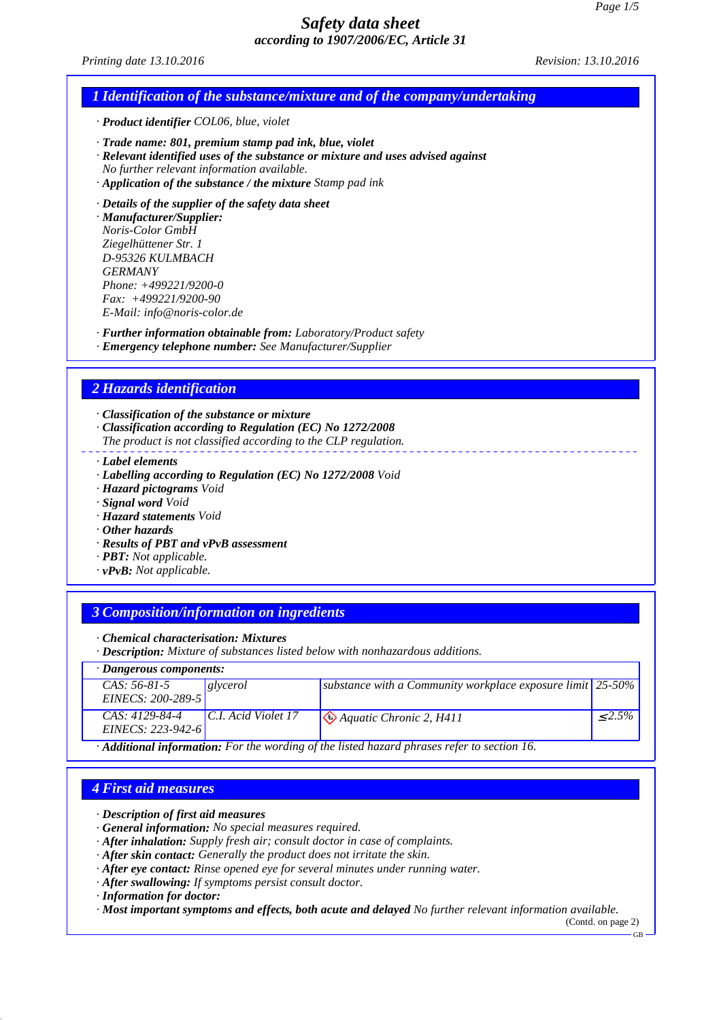*Printing date 13.10.2016 Revision: 13.10.2016*

### *1 Identification of the substance/mixture and of the company/undertaking*

*· Product identifier COL06, blue, violet*

- *· Trade name: 801, premium stamp pad ink, blue, violet*
- *· Relevant identified uses of the substance or mixture and uses advised against*
- *No further relevant information available.*
- *· Application of the substance / the mixture Stamp pad ink*
- *· Details of the supplier of the safety data sheet*

*· Manufacturer/Supplier: Noris-Color GmbH Ziegelhüttener Str. 1 D-95326 KULMBACH GERMANY Phone: +499221/9200-0 Fax: +499221/9200-90 E-Mail: info@noris-color.de*

- *· Further information obtainable from: Laboratory/Product safety*
- *· Emergency telephone number: See Manufacturer/Supplier*

### *2 Hazards identification*

*· Classification of the substance or mixture*

- *· Classification according to Regulation (EC) No 1272/2008*
- *The product is not classified according to the CLP regulation.*
- *· Label elements*
- *· Labelling according to Regulation (EC) No 1272/2008 Void*
- *· Hazard pictograms Void*
- *· Signal word Void*
- *· Hazard statements Void*
- *· Other hazards*
- *· Results of PBT and vPvB assessment*
- *· PBT: Not applicable.*
- *· vPvB: Not applicable.*

### *3 Composition/information on ingredients*

*· Chemical characterisation: Mixtures*

*· Description: Mixture of substances listed below with nonhazardous additions.*

| $\cdot$ Dangerous components:                                                                            |                       |                                                                 |           |
|----------------------------------------------------------------------------------------------------------|-----------------------|-----------------------------------------------------------------|-----------|
| CAS: 56-81-5                                                                                             | glycerol              | substance with a Community workplace exposure limit $ 25-50\% $ |           |
| EINECS: 200-289-5                                                                                        |                       |                                                                 |           |
| CAS: 4129-84-4                                                                                           | $C.I.$ Acid Violet 17 | $\bigotimes$ Aquatic Chronic 2, H411                            | $< 2.5\%$ |
| EINECS: 223-942-6                                                                                        |                       |                                                                 |           |
| $\cdot$ <b>Additional information:</b> For the wording of the listed hazard phrases refer to section 16. |                       |                                                                 |           |

### *4 First aid measures*

- *· Description of first aid measures*
- *· General information: No special measures required.*
- *· After inhalation: Supply fresh air; consult doctor in case of complaints.*
- *· After skin contact: Generally the product does not irritate the skin.*
- *· After eye contact: Rinse opened eye for several minutes under running water.*
- *· After swallowing: If symptoms persist consult doctor.*
- *· Information for doctor:*

*· Most important symptoms and effects, both acute and delayed No further relevant information available.*

(Contd. on page 2)

GB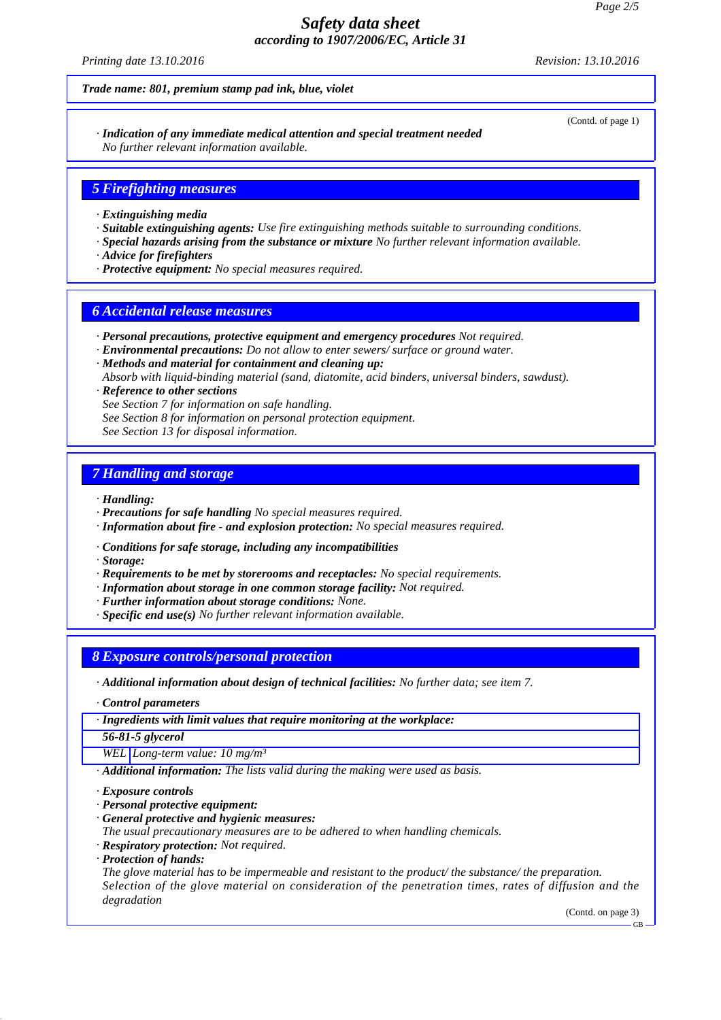*Printing date 13.10.2016 Revision: 13.10.2016*

*Trade name: 801, premium stamp pad ink, blue, violet*

(Contd. of page 1)

*· Indication of any immediate medical attention and special treatment needed No further relevant information available.*

### *5 Firefighting measures*

- *· Extinguishing media*
- *· Suitable extinguishing agents: Use fire extinguishing methods suitable to surrounding conditions.*
- *· Special hazards arising from the substance or mixture No further relevant information available.*
- *· Advice for firefighters*
- *· Protective equipment: No special measures required.*

#### *6 Accidental release measures*

- *· Personal precautions, protective equipment and emergency procedures Not required.*
- *· Environmental precautions: Do not allow to enter sewers/ surface or ground water.*
- *· Methods and material for containment and cleaning up: Absorb with liquid-binding material (sand, diatomite, acid binders, universal binders, sawdust). · Reference to other sections*
- *See Section 7 for information on safe handling.*
- *See Section 8 for information on personal protection equipment.*
- *See Section 13 for disposal information.*

### *7 Handling and storage*

- *· Handling:*
- *· Precautions for safe handling No special measures required.*
- *· Information about fire and explosion protection: No special measures required.*
- *· Conditions for safe storage, including any incompatibilities*
- *· Storage:*
- *· Requirements to be met by storerooms and receptacles: No special requirements.*
- *· Information about storage in one common storage facility: Not required.*
- *· Further information about storage conditions: None.*
- *· Specific end use(s) No further relevant information available.*

### *8 Exposure controls/personal protection*

- *· Additional information about design of technical facilities: No further data; see item 7.*
- *· Control parameters*
- *· Ingredients with limit values that require monitoring at the workplace:*
- *56-81-5 glycerol*

*WEL Long-term value: 10 mg/m³*

*· Additional information: The lists valid during the making were used as basis.*

*· Exposure controls*

- *· Personal protective equipment:*
- *· General protective and hygienic measures:*
- *The usual precautionary measures are to be adhered to when handling chemicals.*
- *· Respiratory protection: Not required.*
- *· Protection of hands:*

*The glove material has to be impermeable and resistant to the product/ the substance/ the preparation. Selection of the glove material on consideration of the penetration times, rates of diffusion and the degradation*

(Contd. on page 3)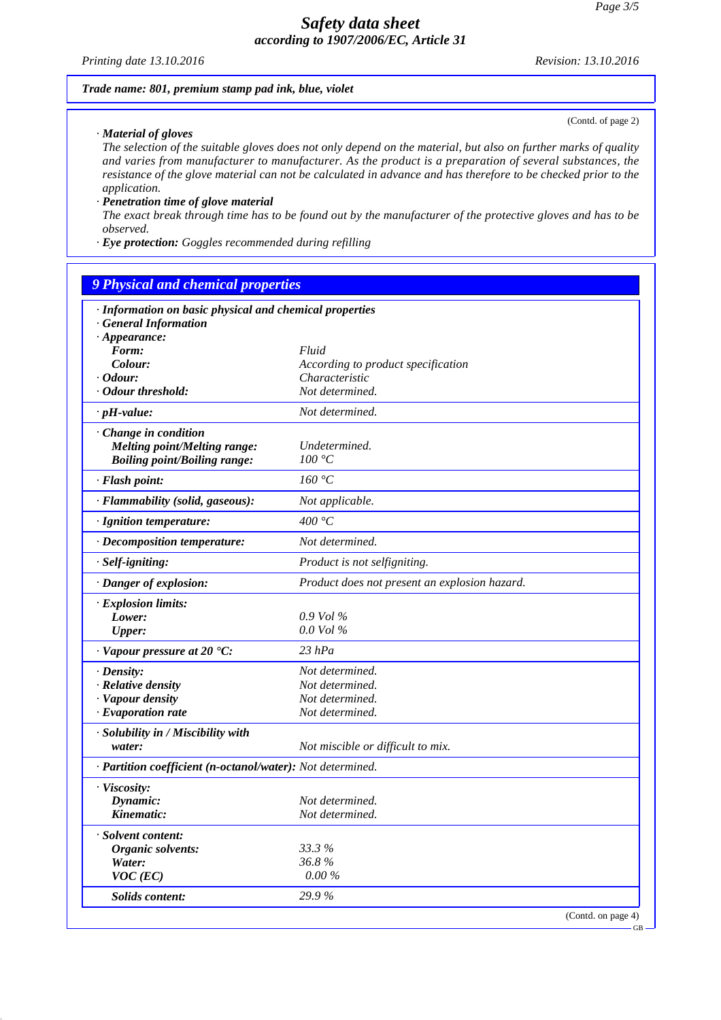*Printing date 13.10.2016 Revision: 13.10.2016*

#### *Trade name: 801, premium stamp pad ink, blue, violet*

(Contd. of page 2)

*· Material of gloves*

*The selection of the suitable gloves does not only depend on the material, but also on further marks of quality and varies from manufacturer to manufacturer. As the product is a preparation of several substances, the resistance of the glove material can not be calculated in advance and has therefore to be checked prior to the application.*

#### *· Penetration time of glove material*

*The exact break through time has to be found out by the manufacturer of the protective gloves and has to be observed.*

*· Eye protection: Goggles recommended during refilling*

## *9 Physical and chemical properties*

| Form:<br>Fluid<br>Colour:<br>According to product specification<br>$\cdot$ Odour:<br>Characteristic<br>· Odour threshold:<br>Not determined.<br>Not determined.<br><b>Melting point/Melting range:</b><br>Undetermined.<br>100 °C<br><b>Boiling point/Boiling range:</b><br>160 °C<br>Not applicable.<br>400 $\degree$ C<br>Not determined.<br>Product is not selfigniting.<br>Product does not present an explosion hazard.<br>$0.9$ Vol $\%$<br>Lower:<br>$0.0$ Vol $\%$<br>Upper:<br>$23$ hPa<br>Not determined.<br>Not determined.<br>Not determined.<br>Not determined.<br>Not miscible or difficult to mix.<br>water:<br>Dynamic:<br>Not determined.<br>Kinematic:<br>Not determined.<br>33.3 %<br>Organic solvents:<br>36.8%<br>Water:<br>$0.00\,\%$<br>$VOC$ (EC)<br>29.9%<br>Solids content: | $\cdot$ Appearance: |  |
|-------------------------------------------------------------------------------------------------------------------------------------------------------------------------------------------------------------------------------------------------------------------------------------------------------------------------------------------------------------------------------------------------------------------------------------------------------------------------------------------------------------------------------------------------------------------------------------------------------------------------------------------------------------------------------------------------------------------------------------------------------------------------------------------------------|---------------------|--|
|                                                                                                                                                                                                                                                                                                                                                                                                                                                                                                                                                                                                                                                                                                                                                                                                       |                     |  |
|                                                                                                                                                                                                                                                                                                                                                                                                                                                                                                                                                                                                                                                                                                                                                                                                       |                     |  |
| $\cdot$ pH-value:<br>Change in condition<br>· Flash point:<br>· Flammability (solid, gaseous):<br>· Ignition temperature:<br>· Decomposition temperature:<br>· Self-igniting:<br>· Danger of explosion:<br>· Explosion limits:<br>$\cdot$ Vapour pressure at 20 $\cdot$ C:<br>$\cdot$ Density:<br>· Relative density<br>· Vapour density                                                                                                                                                                                                                                                                                                                                                                                                                                                              |                     |  |
|                                                                                                                                                                                                                                                                                                                                                                                                                                                                                                                                                                                                                                                                                                                                                                                                       |                     |  |
|                                                                                                                                                                                                                                                                                                                                                                                                                                                                                                                                                                                                                                                                                                                                                                                                       |                     |  |
|                                                                                                                                                                                                                                                                                                                                                                                                                                                                                                                                                                                                                                                                                                                                                                                                       |                     |  |
|                                                                                                                                                                                                                                                                                                                                                                                                                                                                                                                                                                                                                                                                                                                                                                                                       |                     |  |
|                                                                                                                                                                                                                                                                                                                                                                                                                                                                                                                                                                                                                                                                                                                                                                                                       |                     |  |
|                                                                                                                                                                                                                                                                                                                                                                                                                                                                                                                                                                                                                                                                                                                                                                                                       |                     |  |
|                                                                                                                                                                                                                                                                                                                                                                                                                                                                                                                                                                                                                                                                                                                                                                                                       |                     |  |
|                                                                                                                                                                                                                                                                                                                                                                                                                                                                                                                                                                                                                                                                                                                                                                                                       |                     |  |
|                                                                                                                                                                                                                                                                                                                                                                                                                                                                                                                                                                                                                                                                                                                                                                                                       |                     |  |
|                                                                                                                                                                                                                                                                                                                                                                                                                                                                                                                                                                                                                                                                                                                                                                                                       |                     |  |
|                                                                                                                                                                                                                                                                                                                                                                                                                                                                                                                                                                                                                                                                                                                                                                                                       |                     |  |
|                                                                                                                                                                                                                                                                                                                                                                                                                                                                                                                                                                                                                                                                                                                                                                                                       |                     |  |
|                                                                                                                                                                                                                                                                                                                                                                                                                                                                                                                                                                                                                                                                                                                                                                                                       |                     |  |
|                                                                                                                                                                                                                                                                                                                                                                                                                                                                                                                                                                                                                                                                                                                                                                                                       |                     |  |
|                                                                                                                                                                                                                                                                                                                                                                                                                                                                                                                                                                                                                                                                                                                                                                                                       |                     |  |
|                                                                                                                                                                                                                                                                                                                                                                                                                                                                                                                                                                                                                                                                                                                                                                                                       |                     |  |
| $\cdot$ Evaporation rate<br>· Solubility in / Miscibility with<br>· Partition coefficient (n-octanol/water): Not determined.                                                                                                                                                                                                                                                                                                                                                                                                                                                                                                                                                                                                                                                                          |                     |  |
|                                                                                                                                                                                                                                                                                                                                                                                                                                                                                                                                                                                                                                                                                                                                                                                                       |                     |  |
|                                                                                                                                                                                                                                                                                                                                                                                                                                                                                                                                                                                                                                                                                                                                                                                                       |                     |  |
|                                                                                                                                                                                                                                                                                                                                                                                                                                                                                                                                                                                                                                                                                                                                                                                                       |                     |  |
|                                                                                                                                                                                                                                                                                                                                                                                                                                                                                                                                                                                                                                                                                                                                                                                                       |                     |  |
| · Viscosity:                                                                                                                                                                                                                                                                                                                                                                                                                                                                                                                                                                                                                                                                                                                                                                                          |                     |  |
|                                                                                                                                                                                                                                                                                                                                                                                                                                                                                                                                                                                                                                                                                                                                                                                                       |                     |  |
| · Solvent content:                                                                                                                                                                                                                                                                                                                                                                                                                                                                                                                                                                                                                                                                                                                                                                                    |                     |  |
|                                                                                                                                                                                                                                                                                                                                                                                                                                                                                                                                                                                                                                                                                                                                                                                                       |                     |  |
|                                                                                                                                                                                                                                                                                                                                                                                                                                                                                                                                                                                                                                                                                                                                                                                                       |                     |  |
|                                                                                                                                                                                                                                                                                                                                                                                                                                                                                                                                                                                                                                                                                                                                                                                                       |                     |  |
|                                                                                                                                                                                                                                                                                                                                                                                                                                                                                                                                                                                                                                                                                                                                                                                                       |                     |  |
|                                                                                                                                                                                                                                                                                                                                                                                                                                                                                                                                                                                                                                                                                                                                                                                                       |                     |  |
|                                                                                                                                                                                                                                                                                                                                                                                                                                                                                                                                                                                                                                                                                                                                                                                                       |                     |  |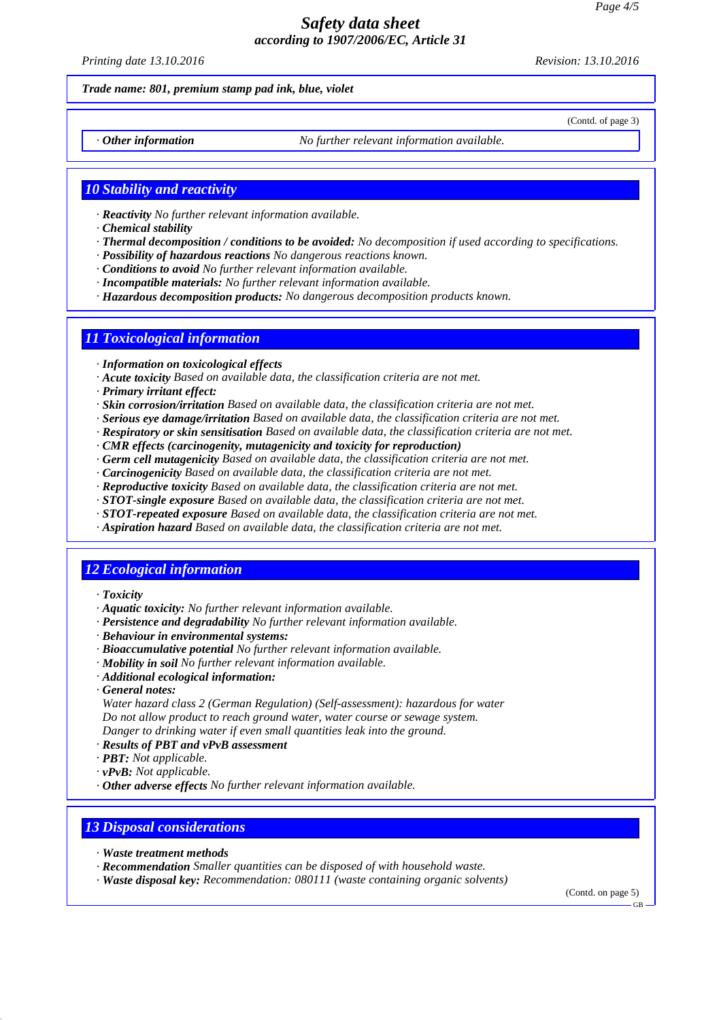*Printing date 13.10.2016 Revision: 13.10.2016*

(Contd. of page 3)

#### *Trade name: 801, premium stamp pad ink, blue, violet*

*· Other information No further relevant information available.*

#### *10 Stability and reactivity*

- *· Reactivity No further relevant information available.*
- *· Chemical stability*
- *· Thermal decomposition / conditions to be avoided: No decomposition if used according to specifications.*
- *· Possibility of hazardous reactions No dangerous reactions known.*
- *· Conditions to avoid No further relevant information available.*
- *· Incompatible materials: No further relevant information available.*
- *· Hazardous decomposition products: No dangerous decomposition products known.*

### *11 Toxicological information*

- *· Information on toxicological effects*
- *· Acute toxicity Based on available data, the classification criteria are not met.*
- *· Primary irritant effect:*
- *· Skin corrosion/irritation Based on available data, the classification criteria are not met.*
- *· Serious eye damage/irritation Based on available data, the classification criteria are not met.*
- *· Respiratory or skin sensitisation Based on available data, the classification criteria are not met.*
- *· CMR effects (carcinogenity, mutagenicity and toxicity for reproduction)*
- *· Germ cell mutagenicity Based on available data, the classification criteria are not met.*
- *· Carcinogenicity Based on available data, the classification criteria are not met.*
- *· Reproductive toxicity Based on available data, the classification criteria are not met.*
- *· STOT-single exposure Based on available data, the classification criteria are not met.*
- *· STOT-repeated exposure Based on available data, the classification criteria are not met.*
- *· Aspiration hazard Based on available data, the classification criteria are not met.*

### *12 Ecological information*

- *· Toxicity*
- *· Aquatic toxicity: No further relevant information available.*
- *· Persistence and degradability No further relevant information available.*
- *· Behaviour in environmental systems:*
- *· Bioaccumulative potential No further relevant information available.*
- *· Mobility in soil No further relevant information available.*
- *· Additional ecological information:*
- *· General notes:*

*Water hazard class 2 (German Regulation) (Self-assessment): hazardous for water Do not allow product to reach ground water, water course or sewage system. Danger to drinking water if even small quantities leak into the ground.*

- *· Results of PBT and vPvB assessment*
- *· PBT: Not applicable.*
- *· vPvB: Not applicable.*
- *· Other adverse effects No further relevant information available.*

### *13 Disposal considerations*

- *· Waste treatment methods*
- *· Recommendation Smaller quantities can be disposed of with household waste.*
- *· Waste disposal key: Recommendation: 080111 (waste containing organic solvents)*

(Contd. on page 5)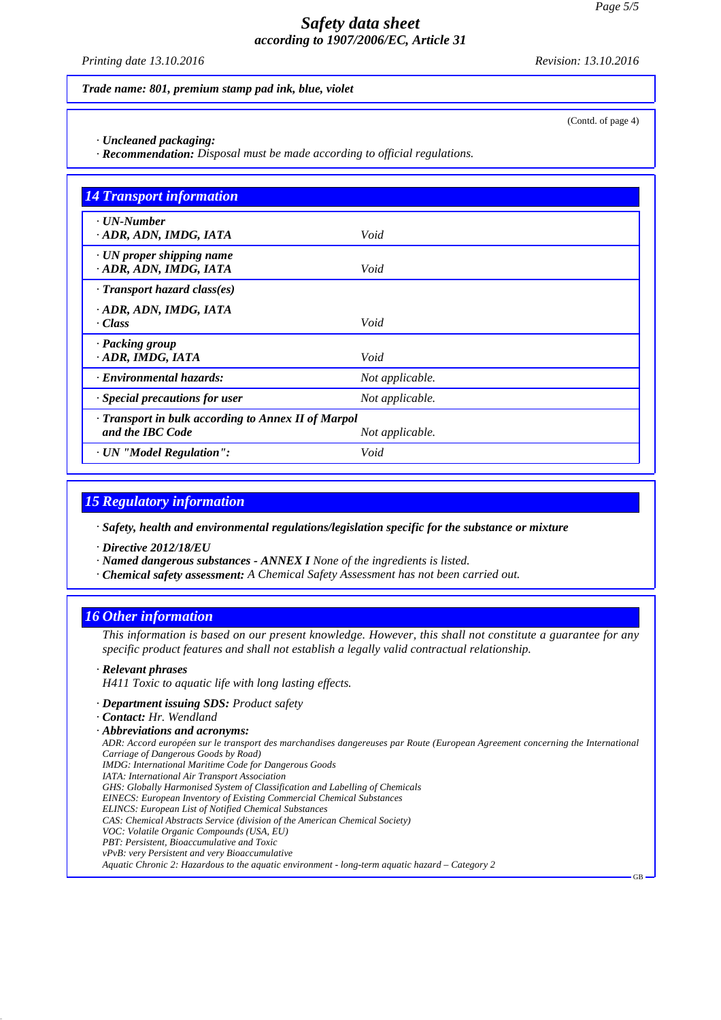*Printing date 13.10.2016 Revision: 13.10.2016*

(Contd. of page 4)

GB

*Trade name: 801, premium stamp pad ink, blue, violet*

*· Uncleaned packaging:*

*· Recommendation: Disposal must be made according to official regulations.*

| <b>14 Transport information</b>                                         |                 |  |
|-------------------------------------------------------------------------|-----------------|--|
| $\cdot$ UN-Number<br>· ADR, ADN, IMDG, IATA                             | Void            |  |
| $\cdot$ UN proper shipping name<br>ADR, ADN, IMDG, IATA                 | Void            |  |
| $\cdot$ Transport hazard class(es)                                      |                 |  |
| · ADR, ADN, IMDG, IATA<br>· Class                                       | Void            |  |
| · Packing group<br>· ADR, IMDG, IATA                                    | Void            |  |
| · Environmental hazards:                                                | Not applicable. |  |
| $\cdot$ Special precautions for user                                    | Not applicable. |  |
| · Transport in bulk according to Annex II of Marpol<br>and the IBC Code | Not applicable. |  |
| · UN "Model Regulation":                                                | Void            |  |

### *15 Regulatory information*

*· Safety, health and environmental regulations/legislation specific for the substance or mixture*

*· Directive 2012/18/EU*

*· Named dangerous substances - ANNEX I None of the ingredients is listed.*

*· Chemical safety assessment: A Chemical Safety Assessment has not been carried out.*

## *16 Other information*

*This information is based on our present knowledge. However, this shall not constitute a guarantee for any specific product features and shall not establish a legally valid contractual relationship.*

#### *· Relevant phrases*

*H411 Toxic to aquatic life with long lasting effects.*

- *· Department issuing SDS: Product safety*
- *· Contact: Hr. Wendland*

*ADR: Accord européen sur le transport des marchandises dangereuses par Route (European Agreement concerning the International Carriage of Dangerous Goods by Road)*

- *IMDG: International Maritime Code for Dangerous Goods*
- *IATA: International Air Transport Association*
- *GHS: Globally Harmonised System of Classification and Labelling of Chemicals*
- *EINECS: European Inventory of Existing Commercial Chemical Substances ELINCS: European List of Notified Chemical Substances*
- *CAS: Chemical Abstracts Service (division of the American Chemical Society)*
- *VOC: Volatile Organic Compounds (USA, EU)*
- *PBT: Persistent, Bioaccumulative and Toxic*
- *vPvB: very Persistent and very Bioaccumulative*

*Aquatic Chronic 2: Hazardous to the aquatic environment - long-term aquatic hazard – Category 2*

*<sup>·</sup> Abbreviations and acronyms:*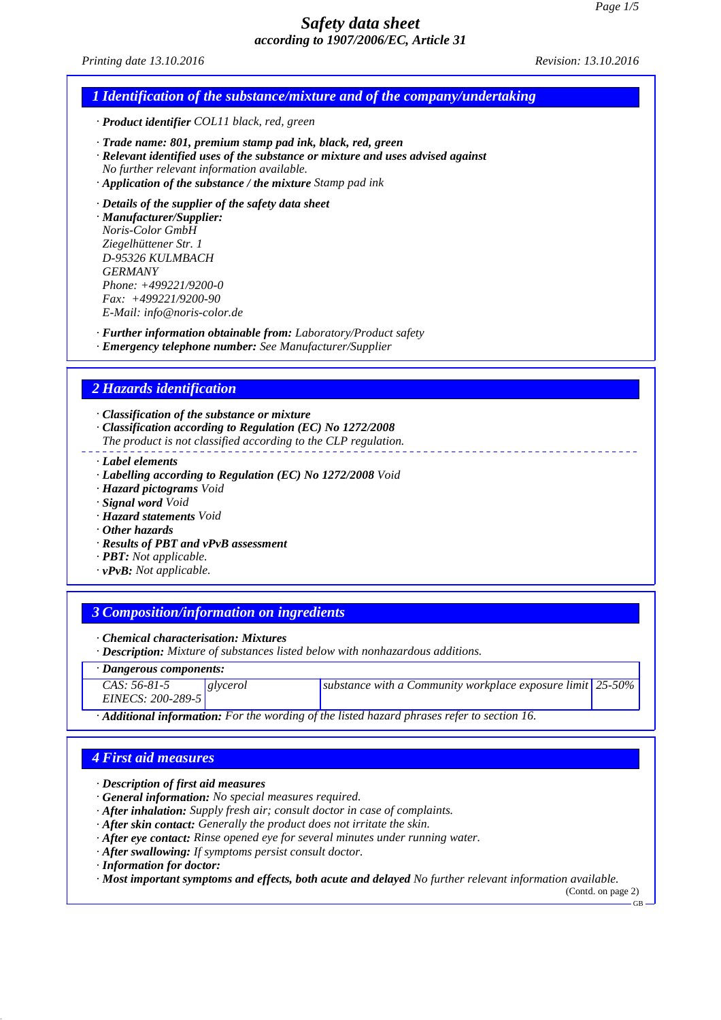*Printing date 13.10.2016 Revision: 13.10.2016*

### *1 Identification of the substance/mixture and of the company/undertaking*

*· Product identifier COL11 black, red, green*

*· Trade name: 801, premium stamp pad ink, black, red, green*

*· Relevant identified uses of the substance or mixture and uses advised against No further relevant information available.*

- *· Application of the substance / the mixture Stamp pad ink*
- *· Details of the supplier of the safety data sheet*

*· Manufacturer/Supplier: Noris-Color GmbH Ziegelhüttener Str. 1 D-95326 KULMBACH GERMANY Phone: +499221/9200-0 Fax: +499221/9200-90 E-Mail: info@noris-color.de*

*· Further information obtainable from: Laboratory/Product safety*

*· Emergency telephone number: See Manufacturer/Supplier*

### *2 Hazards identification*

*· Classification of the substance or mixture*

- *· Classification according to Regulation (EC) No 1272/2008*
- *The product is not classified according to the CLP regulation.*
- *· Label elements*
- *· Labelling according to Regulation (EC) No 1272/2008 Void*
- *· Hazard pictograms Void*
- *· Signal word Void*
- *· Hazard statements Void*
- *· Other hazards*
- *· Results of PBT and vPvB assessment*
- *· PBT: Not applicable.*
- *· vPvB: Not applicable.*

### *3 Composition/information on ingredients*

*· Chemical characterisation: Mixtures*

*· Description: Mixture of substances listed below with nonhazardous additions.*

#### *· Dangerous components:*

| $CAS: 56-81-5$    | <u>  glycerol</u> | substance with a Community workplace exposure limit $ 25-50\% $ |  |
|-------------------|-------------------|-----------------------------------------------------------------|--|
| EINECS: 200-289-5 |                   |                                                                 |  |

*· Additional information: For the wording of the listed hazard phrases refer to section 16.*

## *4 First aid measures*

- *· Description of first aid measures*
- *· General information: No special measures required.*

*· After inhalation: Supply fresh air; consult doctor in case of complaints.*

- *· After skin contact: Generally the product does not irritate the skin.*
- *· After eye contact: Rinse opened eye for several minutes under running water.*
- *· After swallowing: If symptoms persist consult doctor.*
- *· Information for doctor:*

*· Most important symptoms and effects, both acute and delayed No further relevant information available.*

(Contd. on page 2)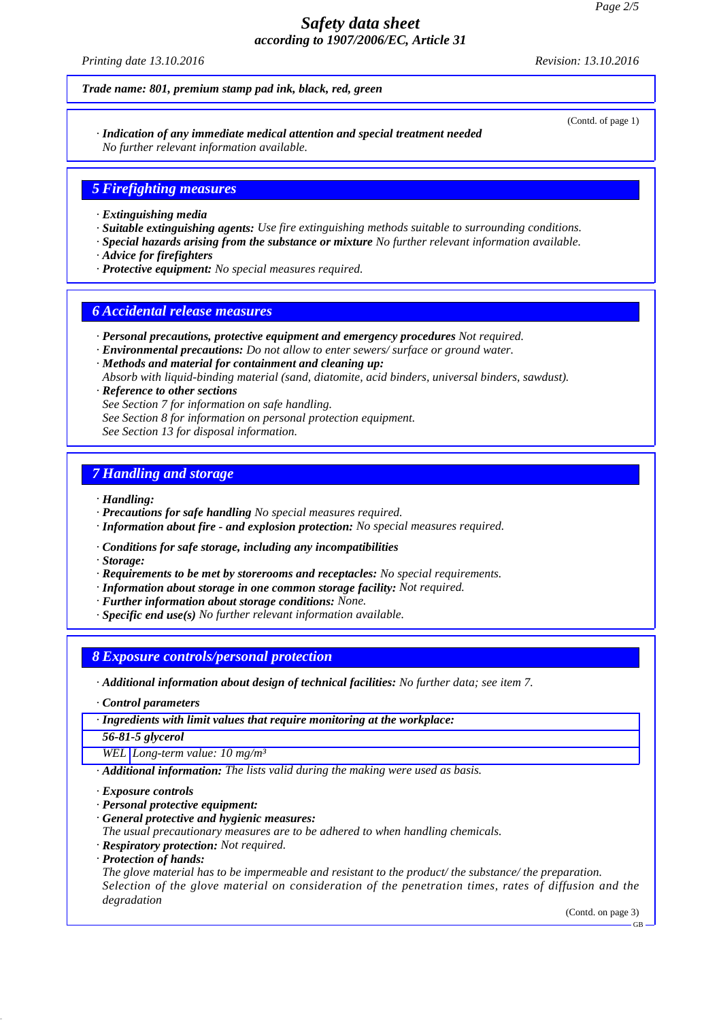*Printing date 13.10.2016 Revision: 13.10.2016*

*Trade name: 801, premium stamp pad ink, black, red, green*

(Contd. of page 1)

*· Indication of any immediate medical attention and special treatment needed No further relevant information available.*

### *5 Firefighting measures*

- *· Extinguishing media*
- *· Suitable extinguishing agents: Use fire extinguishing methods suitable to surrounding conditions.*
- *· Special hazards arising from the substance or mixture No further relevant information available.*
- *· Advice for firefighters*
- *· Protective equipment: No special measures required.*

#### *6 Accidental release measures*

- *· Personal precautions, protective equipment and emergency procedures Not required.*
- *· Environmental precautions: Do not allow to enter sewers/ surface or ground water.*
- *· Methods and material for containment and cleaning up: Absorb with liquid-binding material (sand, diatomite, acid binders, universal binders, sawdust). · Reference to other sections*
- *See Section 7 for information on safe handling.*
- *See Section 8 for information on personal protection equipment.*
- *See Section 13 for disposal information.*

### *7 Handling and storage*

- *· Handling:*
- *· Precautions for safe handling No special measures required.*
- *· Information about fire and explosion protection: No special measures required.*
- *· Conditions for safe storage, including any incompatibilities*
- *· Storage:*
- *· Requirements to be met by storerooms and receptacles: No special requirements.*
- *· Information about storage in one common storage facility: Not required.*
- *· Further information about storage conditions: None.*
- *· Specific end use(s) No further relevant information available.*

### *8 Exposure controls/personal protection*

- *· Additional information about design of technical facilities: No further data; see item 7.*
- *· Control parameters*
- *· Ingredients with limit values that require monitoring at the workplace:*
- *56-81-5 glycerol*

*WEL Long-term value: 10 mg/m³*

*· Additional information: The lists valid during the making were used as basis.*

*· Exposure controls*

- *· Personal protective equipment:*
- *· General protective and hygienic measures:*
- *The usual precautionary measures are to be adhered to when handling chemicals.*
- *· Respiratory protection: Not required.*
- *· Protection of hands:*

*The glove material has to be impermeable and resistant to the product/ the substance/ the preparation. Selection of the glove material on consideration of the penetration times, rates of diffusion and the degradation*

(Contd. on page 3)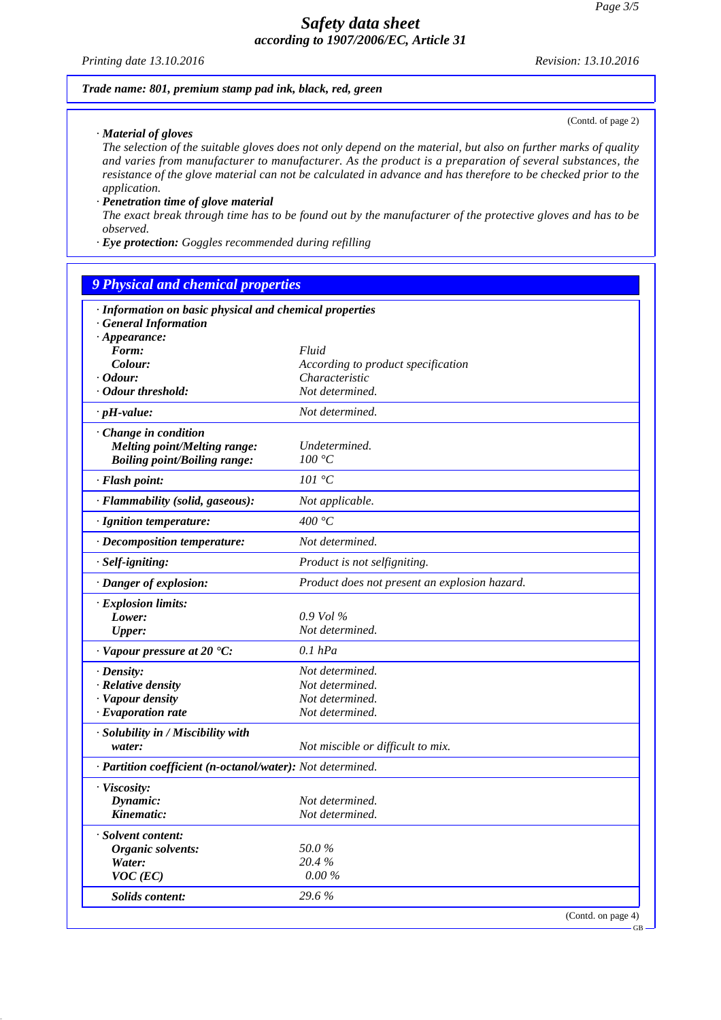*Printing date 13.10.2016 Revision: 13.10.2016*

#### *Trade name: 801, premium stamp pad ink, black, red, green*

(Contd. of page 2)

*· Material of gloves*

*The selection of the suitable gloves does not only depend on the material, but also on further marks of quality and varies from manufacturer to manufacturer. As the product is a preparation of several substances, the resistance of the glove material can not be calculated in advance and has therefore to be checked prior to the application.*

#### *· Penetration time of glove material*

*The exact break through time has to be found out by the manufacturer of the protective gloves and has to be observed.*

*· Eye protection: Goggles recommended during refilling*

#### *9 Physical and chemical properties*

| $\cdot$ Appearance:                                        |                                               |                    |
|------------------------------------------------------------|-----------------------------------------------|--------------------|
| Form:                                                      | Fluid                                         |                    |
| Colour:                                                    | According to product specification            |                    |
| $\cdot$ Odour:                                             | Characteristic                                |                    |
| · Odour threshold:                                         | Not determined.                               |                    |
| $\cdot$ pH-value:                                          | Not determined.                               |                    |
| · Change in condition                                      |                                               |                    |
| <b>Melting point/Melting range:</b>                        | Undetermined.                                 |                    |
| <b>Boiling point/Boiling range:</b>                        | 100 °C                                        |                    |
| · Flash point:                                             | 101 °C                                        |                    |
| · Flammability (solid, gaseous):                           | Not applicable.                               |                    |
| · Ignition temperature:                                    | 400 °C                                        |                    |
| · Decomposition temperature:                               | Not determined.                               |                    |
| · Self-igniting:                                           | Product is not selfigniting.                  |                    |
| · Danger of explosion:                                     | Product does not present an explosion hazard. |                    |
| · Explosion limits:                                        |                                               |                    |
| Lower:                                                     | $0.9$ Vol $\%$                                |                    |
| <b>Upper:</b>                                              | Not determined.                               |                    |
| $\cdot$ Vapour pressure at 20 $\cdot$ C:                   | $0.1$ $hPa$                                   |                    |
| · Density:                                                 | Not determined.                               |                    |
| $\cdot$ Relative density                                   | Not determined.                               |                    |
| · Vapour density                                           | Not determined.                               |                    |
| $\cdot$ Evaporation rate                                   | Not determined.                               |                    |
| · Solubility in / Miscibility with                         |                                               |                    |
| water:                                                     | Not miscible or difficult to mix.             |                    |
| · Partition coefficient (n-octanol/water): Not determined. |                                               |                    |
| · Viscosity:                                               |                                               |                    |
| Dynamic:                                                   | Not determined.                               |                    |
| Kinematic:                                                 | Not determined.                               |                    |
| · Solvent content:                                         |                                               |                    |
| Organic solvents:                                          | 50.0%                                         |                    |
| Water:                                                     | 20.4%                                         |                    |
| $VOC$ (EC)                                                 | $0.00\,\%$                                    |                    |
| Solids content:                                            | 29.6 %                                        |                    |
|                                                            |                                               | (Contd. on page 4) |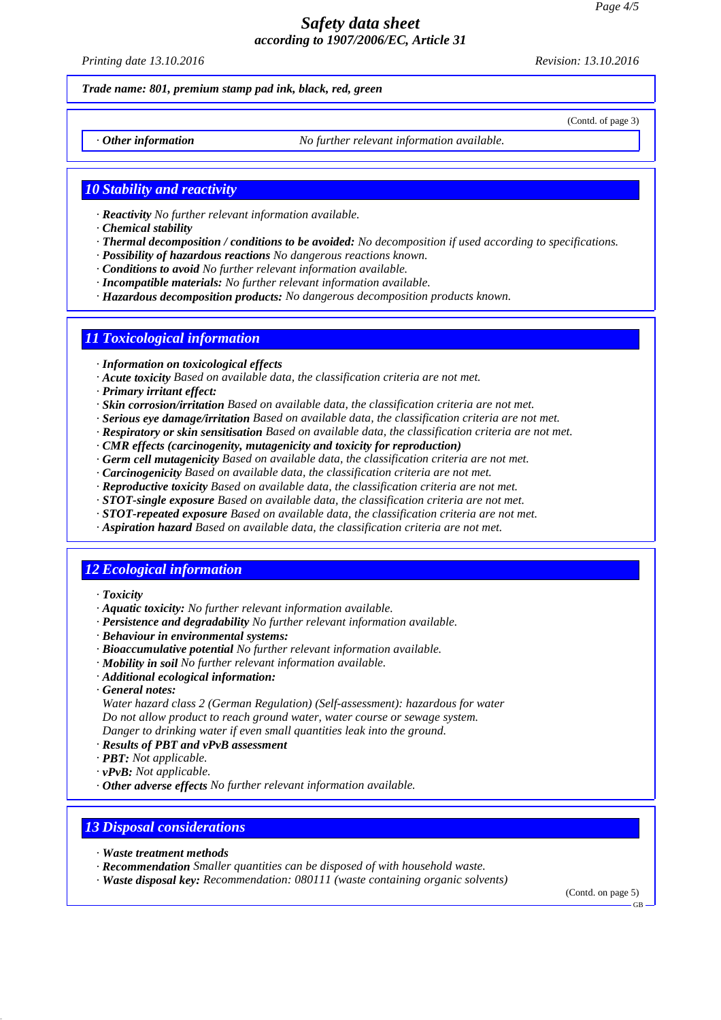*Printing date 13.10.2016 Revision: 13.10.2016*

(Contd. of page 3)

#### *Trade name: 801, premium stamp pad ink, black, red, green*

*· Other information No further relevant information available.*

### *10 Stability and reactivity*

- *· Reactivity No further relevant information available.*
- *· Chemical stability*
- *· Thermal decomposition / conditions to be avoided: No decomposition if used according to specifications.*
- *· Possibility of hazardous reactions No dangerous reactions known.*
- *· Conditions to avoid No further relevant information available.*
- *· Incompatible materials: No further relevant information available.*
- *· Hazardous decomposition products: No dangerous decomposition products known.*

# *11 Toxicological information*

- *· Information on toxicological effects*
- *· Acute toxicity Based on available data, the classification criteria are not met.*
- *· Primary irritant effect:*
- *· Skin corrosion/irritation Based on available data, the classification criteria are not met.*
- *· Serious eye damage/irritation Based on available data, the classification criteria are not met.*
- *· Respiratory or skin sensitisation Based on available data, the classification criteria are not met.*
- *· CMR effects (carcinogenity, mutagenicity and toxicity for reproduction)*
- *· Germ cell mutagenicity Based on available data, the classification criteria are not met.*
- *· Carcinogenicity Based on available data, the classification criteria are not met.*
- *· Reproductive toxicity Based on available data, the classification criteria are not met.*
- *· STOT-single exposure Based on available data, the classification criteria are not met.*
- *· STOT-repeated exposure Based on available data, the classification criteria are not met.*
- *· Aspiration hazard Based on available data, the classification criteria are not met.*

### *12 Ecological information*

- *· Toxicity*
- *· Aquatic toxicity: No further relevant information available.*
- *· Persistence and degradability No further relevant information available.*
- *· Behaviour in environmental systems:*
- *· Bioaccumulative potential No further relevant information available.*
- *· Mobility in soil No further relevant information available.*
- *· Additional ecological information:*
- *· General notes:*

*Water hazard class 2 (German Regulation) (Self-assessment): hazardous for water Do not allow product to reach ground water, water course or sewage system. Danger to drinking water if even small quantities leak into the ground.*

- *· Results of PBT and vPvB assessment*
- *· PBT: Not applicable.*
- *· vPvB: Not applicable.*
- *· Other adverse effects No further relevant information available.*

### *13 Disposal considerations*

- *· Waste treatment methods*
- *· Recommendation Smaller quantities can be disposed of with household waste.*
- *· Waste disposal key: Recommendation: 080111 (waste containing organic solvents)*

(Contd. on page 5)